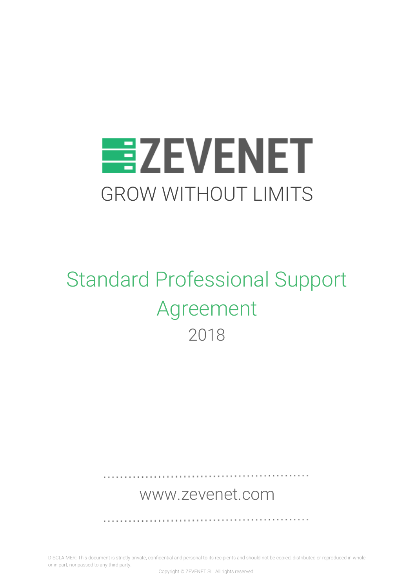

# Standard Professional Support Agreement 2018

# [www.zevenet.com](https://www.zevenet.com/)

. . . . . . . . . . . . . . . . .

DISCLAIMER: This document is strictly private, confidential and personal to its recipients and should not be copied, distributed or reproduced in whole or in part, nor passed to any third party.

Copyright © ZEVENET SL. All rights reserved.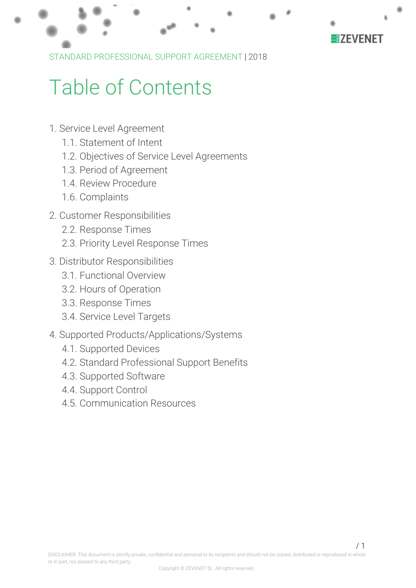

# Table of Contents

- 1. Service Level [Agreement](#page-2-0)
	- 1.1. [Statement](#page-2-1) of Intent
	- 1.2. Objectives of Service Level [Agreements](#page-2-2)
	- 1.3. Period of [Agreement](#page-3-0)
	- 1.4. Review [Procedure](#page-3-1)
	- 1.6. [Complaints](#page-3-2)
- 2. Customer [Responsibilities](#page-5-0)
	- 2.2. [Response](#page-5-1) Times
	- 2.3. Priority Level [Response](#page-6-0) Times
- 3. Distributor [Responsibilities](#page-7-0)
	- 3.1. [Functional](#page-7-1) Overview
	- 3.2. Hours of [Operation](#page-7-2)
	- 3.3. [Response](#page-7-3) Times
	- 3.4. Service Level [Targets](#page-8-0)
- 4. Supported [Products/Applications/Systems](#page-9-0)
	- 4.1. [Supported](#page-9-1) Devices
	- 4.2. Standard [Professional](#page-9-2) Support Benefits
	- 4.3. [Supported](#page-11-0) Software
	- 4.4. [Support](#page-11-1) Control
	- 4.5. [Communication](#page-11-2) Resources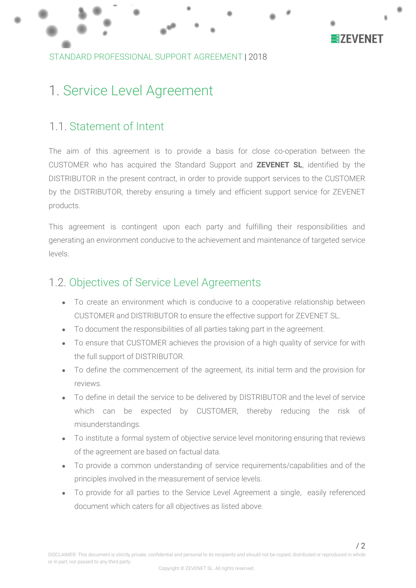

# <span id="page-2-0"></span>1. Service Level Agreement

### <span id="page-2-1"></span>1.1. Statement of Intent

The aim of this agreement is to provide a basis for close co-operation between the CUSTOMER who has acquired the Standard Support and **ZEVENET SL**, identified by the DISTRIBUTOR in the present contract, in order to provide support services to the CUSTOMER by the DISTRIBUTOR, thereby ensuring a timely and efficient support service for ZEVENET products.

This agreement is contingent upon each party and fulfilling their responsibilities and generating an environment conducive to the achievement and maintenance of targeted service levels.

### <span id="page-2-2"></span>1.2. Objectives of Service Level Agreements

- To create an environment which is conducive to a cooperative relationship between CUSTOMER and DISTRIBUTOR to ensure the effective support for ZEVENET SL.
- To document the responsibilities of all parties taking part in the agreement.
- To ensure that CUSTOMER achieves the provision of a high quality of service for with the full support of DISTRIBUTOR.
- To define the commencement of the agreement, its initial term and the provision for reviews.
- To define in detail the service to be delivered by DISTRIBUTOR and the level of service which can be expected by CUSTOMER, thereby reducing the risk of misunderstandings.
- To institute a formal system of objective service level monitoring ensuring that reviews of the agreement are based on factual data.
- To provide a common understanding of service requirements/capabilities and of the principles involved in the measurement of service levels.
- To provide for all parties to the Service Level Agreement a single, easily referenced document which caters for all objectives as listed above.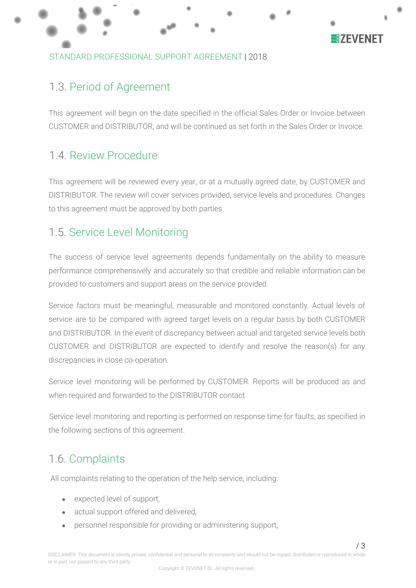

### STANDARD PROFESSIONAL SUPPORT AGREEMENT |2018

### <span id="page-3-0"></span>1.3. Period of Agreement

This agreement will begin on the date specified in the official Sales Order or Invoice between CUSTOMER and DISTRIBUTOR, and will be continued as set forth in the Sales Order or Invoice.

### <span id="page-3-1"></span>1.4. Review Procedure

This agreement will be reviewed every year, or at a mutually agreed date, by CUSTOMER and DISTRIBUTOR. The review will cover services provided, service levels and procedures. Changes to this agreement must be approved by both parties.

### 1.5. Service Level Monitoring

The success of service level agreements depends fundamentally on the ability to measure performance comprehensively and accurately so that credible and reliable information can be provided to customers and support areas on the service provided.

Service factors must be meaningful, measurable and monitored constantly. Actual levels of service are to be compared with agreed target levels on a regular basis by both CUSTOMER and DISTRIBUTOR. In the event of discrepancy between actual and targeted service levels both CUSTOMER and DISTRIBUTOR are expected to identify and resolve the reason(s) for any discrepancies in close co-operation.

Service level monitoring will be performed by CUSTOMER. Reports will be produced as and when required and forwarded to the DISTRIBUTOR contact.

Service level monitoring and reporting is performed on response time for faults, as specified in the following sections of this agreement.

# <span id="page-3-2"></span>1.6. Complaints

All complaints relating to the operation of the help service, including:

- expected level of support,
- actual support offered and delivered,
- personnel responsible for providing or administering support,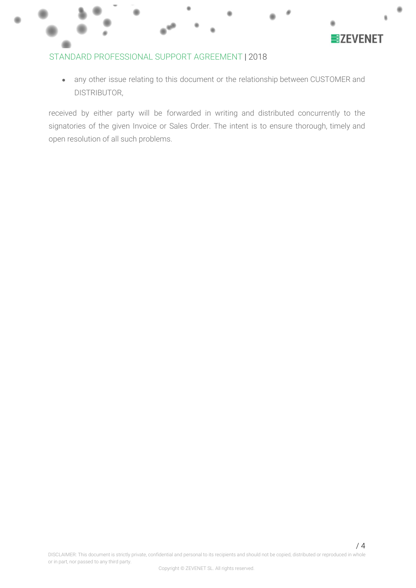

#### STANDARD PROFESSIONAL SUPPORT AGREEMENT |2018

• any other issue relating to this document or the relationship between CUSTOMER and DISTRIBUTOR,

received by either party will be forwarded in writing and distributed concurrently to the signatories of the given Invoice or Sales Order. The intent is to ensure thorough, timely and open resolution of all such problems.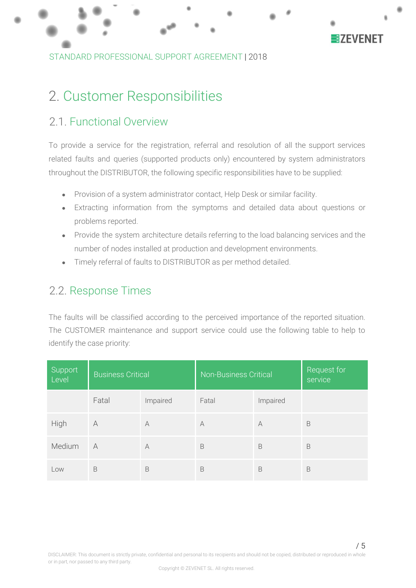

STANDARD PROFESSIONAL SUPPORT AGREEMENT |2018

# <span id="page-5-0"></span>2. Customer Responsibilities

### 2.1. Functional Overview

To provide a service for the registration, referral and resolution of all the support services related faults and queries (supported products only) encountered by system administrators throughout the DISTRIBUTOR, the following specific responsibilities have to be supplied:

- Provision of a system administrator contact, Help Desk or similar facility.
- Extracting information from the symptoms and detailed data about questions or problems reported.
- Provide the system architecture details referring to the load balancing services and the number of nodes installed at production and development environments.
- Timely referral of faults to DISTRIBUTOR as per method detailed.

### <span id="page-5-1"></span>2.2. Response Times

The faults will be classified according to the perceived importance of the reported situation. The CUSTOMER maintenance and support service could use the following table to help to identify the case priority:

| Support<br>Level | <b>Business Critical</b> |           | <b>Non-Business Critical</b> |          | Request for<br>service |
|------------------|--------------------------|-----------|------------------------------|----------|------------------------|
|                  | Fatal                    | Impaired  | Fatal                        | Impaired |                        |
| High             | A                        | $\forall$ | A                            | A        | B                      |
| Medium           | A                        | $\forall$ | B                            | B        | B                      |
| Low              | B                        | B         | B                            | B        | B                      |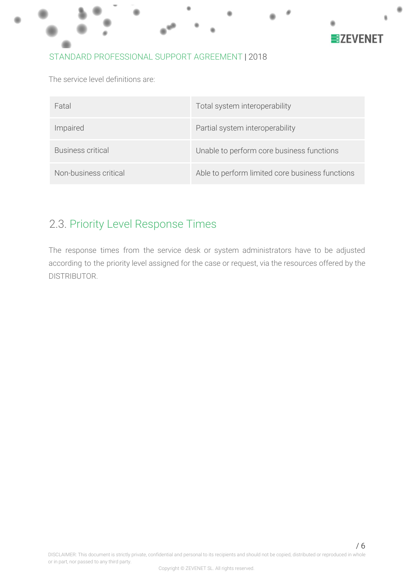

The service level definitions are:

| Fatal                 | Total system interoperability                   |
|-----------------------|-------------------------------------------------|
| Impaired              | Partial system interoperability                 |
| Business critical     | Unable to perform core business functions       |
| Non-business critical | Able to perform limited core business functions |

### <span id="page-6-0"></span>2.3. Priority Level Response Times

The response times from the service desk or system administrators have to be adjusted according to the priority level assigned for the case or request, via the resources offered by the DISTRIBUTOR.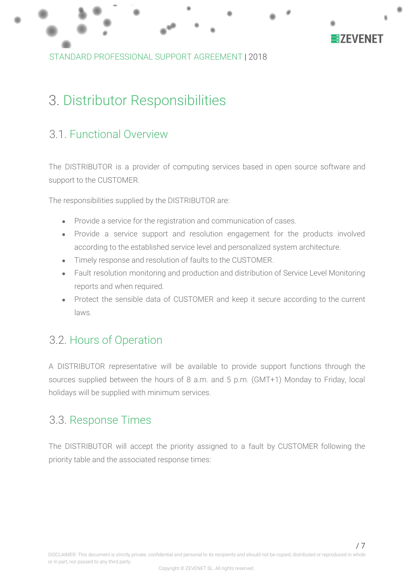

STANDARD PROFESSIONAL SUPPORT AGREEMENT |2018

# <span id="page-7-0"></span>3. Distributor Responsibilities

### <span id="page-7-1"></span>3.1. Functional Overview

The DISTRIBUTOR is a provider of computing services based in open source software and support to the CUSTOMER.

The responsibilities supplied by the DISTRIBUTOR are:

- Provide a service for the registration and communication of cases.
- Provide a service support and resolution engagement for the products involved according to the established service level and personalized system architecture.
- Timely response and resolution of faults to the CUSTOMER.
- Fault resolution monitoring and production and distribution of Service Level Monitoring reports and when required.
- Protect the sensible data of CUSTOMER and keep it secure according to the current laws.

### <span id="page-7-2"></span>3.2. Hours of Operation

A DISTRIBUTOR representative will be available to provide support functions through the sources supplied between the hours of 8 a.m. and 5 p.m. (GMT+1) Monday to Friday, local holidays will be supplied with minimum services.

### <span id="page-7-3"></span>3.3. Response Times

The DISTRIBUTOR will accept the priority assigned to a fault by CUSTOMER following the priority table and the associated response times: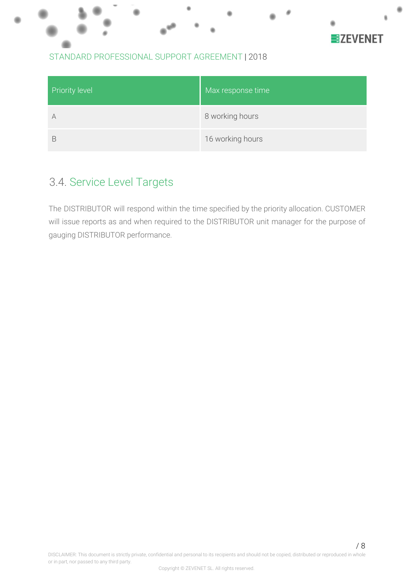

#### STANDARD PROFESSIONAL SUPPORT AGREEMENT |2018

| <b>Priority level</b> | Max response time |
|-----------------------|-------------------|
| A                     | 8 working hours   |
| R                     | 16 working hours  |

# <span id="page-8-0"></span>3.4. Service Level Targets

The DISTRIBUTOR will respond within the time specified by the priority allocation. CUSTOMER will issue reports as and when required to the DISTRIBUTOR unit manager for the purpose of gauging DISTRIBUTOR performance.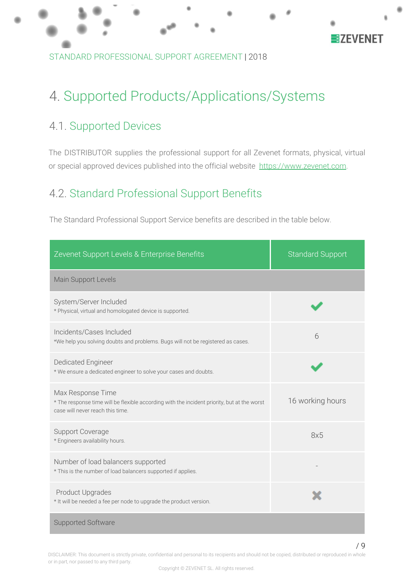

STANDARD PROFESSIONAL SUPPORT AGREEMENT |2018

# <span id="page-9-0"></span>4. Supported Products/Applications/Systems

# <span id="page-9-1"></span>4.1. Supported Devices

The DISTRIBUTOR supplies the professional support for all Zevenet formats, physical, virtual or special approved devices published into the official website [https://www.zevenet.com](https://www.zevenet.com/).

# <span id="page-9-2"></span>4.2. Standard Professional Support Benefits

The Standard Professional Support Service benefits are described in the table below.

| Zevenet Support Levels & Enterprise Benefits                                                                                                         | <b>Standard Support</b> |
|------------------------------------------------------------------------------------------------------------------------------------------------------|-------------------------|
| Main Support Levels                                                                                                                                  |                         |
| System/Server Included<br>* Physical, virtual and homologated device is supported.                                                                   |                         |
| Incidents/Cases Included<br>*We help you solving doubts and problems. Bugs will not be registered as cases.                                          | 6                       |
| <b>Dedicated Engineer</b><br>* We ensure a dedicated engineer to solve your cases and doubts.                                                        |                         |
| Max Response Time<br>* The response time will be flexible according with the incident priority, but at the worst<br>case will never reach this time. | 16 working hours        |
| <b>Support Coverage</b><br>* Engineers availability hours.                                                                                           | 8x5                     |
| Number of load balancers supported<br>* This is the number of load balancers supported if applies.                                                   |                         |
| <b>Product Upgrades</b><br>* It will be needed a fee per node to upgrade the product version.                                                        |                         |
| Supported Software                                                                                                                                   |                         |

DISCLAIMER: This document is strictly private, confidential and personal to its recipients and should not be copied, distributed or reproduced in whole or in part, nor passed to any third party.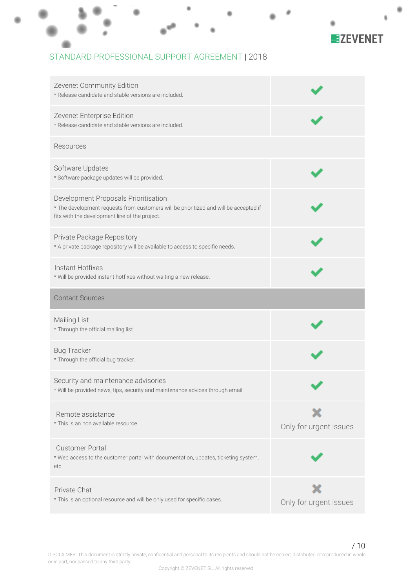

#### STANDARD PROFESSIONAL SUPPORT AGREEMENT |2018

| Zevenet Community Edition<br>* Release candidate and stable versions are included.                                                                                              |                        |
|---------------------------------------------------------------------------------------------------------------------------------------------------------------------------------|------------------------|
| Zevenet Enterprise Edition<br>* Release candidate and stable versions are included.                                                                                             |                        |
| Resources                                                                                                                                                                       |                        |
| Software Updates<br>* Software package updates will be provided.                                                                                                                |                        |
| Development Proposals Prioritisation<br>* The development requests from customers will be prioritized and will be accepted if<br>fits with the development line of the project. |                        |
| Private Package Repository<br>* A private package repository will be available to access to specific needs.                                                                     |                        |
| Instant Hotfixes<br>* Will be provided instant hotfixes without waiting a new release.                                                                                          |                        |
| <b>Contact Sources</b>                                                                                                                                                          |                        |
|                                                                                                                                                                                 |                        |
| Mailing List<br>* Through the official mailing list.                                                                                                                            |                        |
| <b>Bug Tracker</b><br>* Through the official bug tracker.                                                                                                                       |                        |
| Security and maintenance advisories<br>* Will be provided news, tips, security and maintenance advices through email.                                                           |                        |
| Remote assistance<br>* This is an non available resource                                                                                                                        | Only for urgent issues |
| <b>Customer Portal</b><br>* Web access to the customer portal with documentation, updates, ticketing system,<br>etc.                                                            |                        |

DISCLAIMER: This document is strictly private, confidential and personal to its recipients and should not be copied, distributed or reproduced in whole or in part, nor passed to any third party.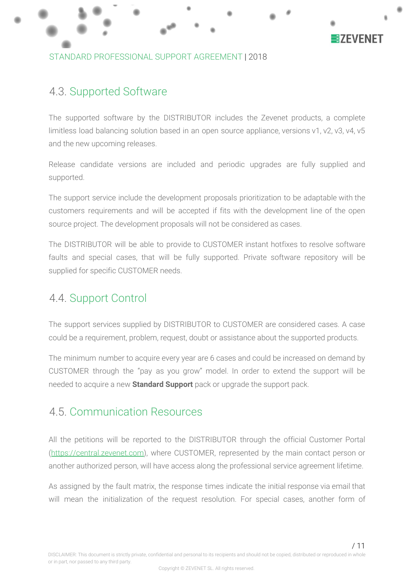

### <span id="page-11-0"></span>4.3. Supported Software

The supported software by the DISTRIBUTOR includes the Zevenet products, a complete limitless load balancing solution based in an open source appliance, versions v1, v2, v3, v4, v5 and the new upcoming releases.

Release candidate versions are included and periodic upgrades are fully supplied and supported.

The support service include the development proposals prioritization to be adaptable with the customers requirements and will be accepted if fits with the development line of the open source project. The development proposals will not be considered as cases.

The DISTRIBUTOR will be able to provide to CUSTOMER instant hotfixes to resolve software faults and special cases, that will be fully supported. Private software repository will be supplied for specific CUSTOMER needs.

### <span id="page-11-1"></span>4.4. Support Control

The support services supplied by DISTRIBUTOR to CUSTOMER are considered cases. A case could be a requirement, problem, request, doubt or assistance about the supported products.

The minimum number to acquire every year are 6 cases and could be increased on demand by CUSTOMER through the "pay as you grow" model. In order to extend the support will be needed to acquire a new **Standard Support** pack or upgrade the support pack.

### <span id="page-11-2"></span>4.5. Communication Resources

All the petitions will be reported to the DISTRIBUTOR through the official Customer Portal ([https://](https://zvnadm.zevenet.com/)[central.zevenet.com](http://central.zevenet.com/)), where CUSTOMER, represented by the main contact person or another authorized person, will have access along the professional service agreement lifetime.

As assigned by the fault matrix, the response times indicate the initial response via email that will mean the initialization of the request resolution. For special cases, another form of